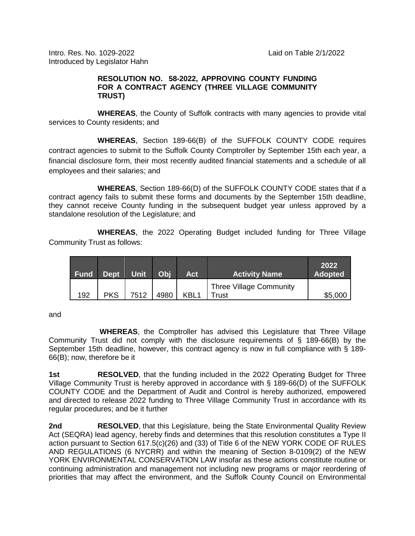Intro. Res. No. 1029-2022 Laid on Table 2/1/2022 Introduced by Legislator Hahn

## **RESOLUTION NO. 58-2022, APPROVING COUNTY FUNDING FOR A CONTRACT AGENCY (THREE VILLAGE COMMUNITY TRUST)**

**WHEREAS**, the County of Suffolk contracts with many agencies to provide vital services to County residents; and

**WHEREAS**, Section 189-66(B) of the SUFFOLK COUNTY CODE requires contract agencies to submit to the Suffolk County Comptroller by September 15th each year, a financial disclosure form, their most recently audited financial statements and a schedule of all employees and their salaries; and

**WHEREAS**, Section 189-66(D) of the SUFFOLK COUNTY CODE states that if a contract agency fails to submit these forms and documents by the September 15th deadline, they cannot receive County funding in the subsequent budget year unless approved by a standalone resolution of the Legislature; and

**WHEREAS**, the 2022 Operating Budget included funding for Three Village Community Trust as follows:

| <b>Fund</b> | Dept.      | <b>Unit</b> | Obj  | Act              | <b>Activity Name</b>                    | 2022<br><b>Adopted</b> |
|-------------|------------|-------------|------|------------------|-----------------------------------------|------------------------|
| 192         | <b>PKS</b> | 7512        | 4980 | KBL <sub>1</sub> | <b>Three Village Community</b><br>Trust | \$5,000                |

and

**WHEREAS**, the Comptroller has advised this Legislature that Three Village Community Trust did not comply with the disclosure requirements of § 189-66(B) by the September 15th deadline, however, this contract agency is now in full compliance with § 189-66(B); now, therefore be it

**1st RESOLVED**, that the funding included in the 2022 Operating Budget for Three Village Community Trust is hereby approved in accordance with § 189-66(D) of the SUFFOLK COUNTY CODE and the Department of Audit and Control is hereby authorized, empowered and directed to release 2022 funding to Three Village Community Trust in accordance with its regular procedures; and be it further

**2nd RESOLVED**, that this Legislature, being the State Environmental Quality Review Act (SEQRA) lead agency, hereby finds and determines that this resolution constitutes a Type II action pursuant to Section 617.5(c)(26) and (33) of Title 6 of the NEW YORK CODE OF RULES AND REGULATIONS (6 NYCRR) and within the meaning of Section 8-0109(2) of the NEW YORK ENVIRONMENTAL CONSERVATION LAW insofar as these actions constitute routine or continuing administration and management not including new programs or major reordering of priorities that may affect the environment, and the Suffolk County Council on Environmental